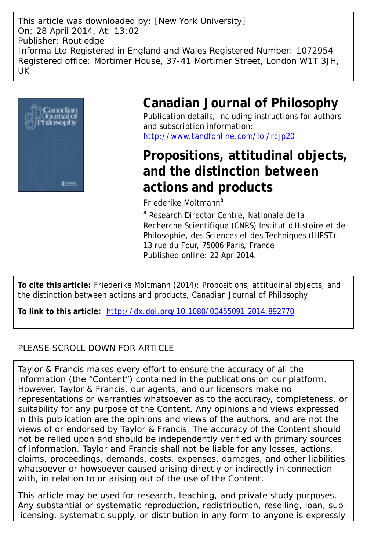This article was downloaded by: [New York University] On: 28 April 2014, At: 13:02 Publisher: Routledge Informa Ltd Registered in England and Wales Registered Number: 1072954 Registered office: Mortimer House, 37-41 Mortimer Street, London W1T 3JH, UK



# **Canadian Journal of Philosophy**

Publication details, including instructions for authors and subscription information: <http://www.tandfonline.com/loi/rcjp20>

# **Propositions, attitudinal objects, and the distinction between actions and products**

Friederike Moltmann<sup>a</sup>

<sup>a</sup> Research Director Centre, Nationale de la Recherche Scientifique (CNRS) Institut d'Histoire et de Philosophie, des Sciences et des Techniques (IHPST), 13 rue du Four, 75006 Paris, France Published online: 22 Apr 2014.

**To cite this article:** Friederike Moltmann (2014): Propositions, attitudinal objects, and the distinction between actions and products, Canadian Journal of Philosophy

**To link to this article:** <http://dx.doi.org/10.1080/00455091.2014.892770>

# PLEASE SCROLL DOWN FOR ARTICLE

Taylor & Francis makes every effort to ensure the accuracy of all the information (the "Content") contained in the publications on our platform. However, Taylor & Francis, our agents, and our licensors make no representations or warranties whatsoever as to the accuracy, completeness, or suitability for any purpose of the Content. Any opinions and views expressed in this publication are the opinions and views of the authors, and are not the views of or endorsed by Taylor & Francis. The accuracy of the Content should not be relied upon and should be independently verified with primary sources of information. Taylor and Francis shall not be liable for any losses, actions, claims, proceedings, demands, costs, expenses, damages, and other liabilities whatsoever or howsoever caused arising directly or indirectly in connection with, in relation to or arising out of the use of the Content.

This article may be used for research, teaching, and private study purposes. Any substantial or systematic reproduction, redistribution, reselling, loan, sublicensing, systematic supply, or distribution in any form to anyone is expressly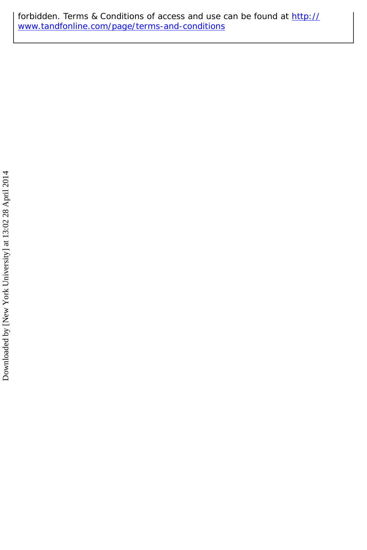forbidden. Terms & Conditions of access and use can be found at [http://](http://www.tandfonline.com/page/terms-and-conditions) [www.tandfonline.com/page/terms-and-conditions](http://www.tandfonline.com/page/terms-and-conditions)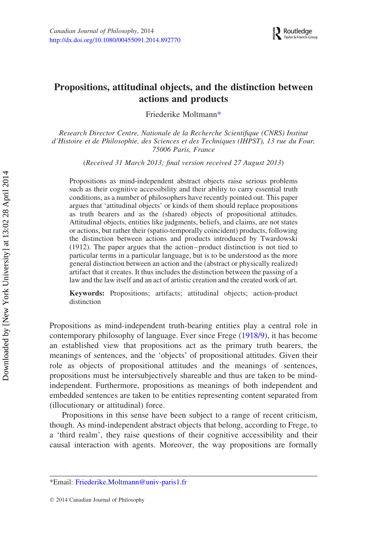# Propositions, attitudinal objects, and the distinction between actions and products

Friederike Moltmann[\\*](#page-2-0)

Research Director Centre, Nationale de la Recherche Scientifique (CNRS) Institut d'Histoire et de Philosophie, des Sciences et des Techniques (IHPST), 13 rue du Four, 75006 Paris, France

(Received 31 March 2013; final version received 27 August 2013)

Propositions as mind-independent abstract objects raise serious problems such as their cognitive accessibility and their ability to carry essential truth conditions, as a number of philosophers have recently pointed out. This paper argues that 'attitudinal objects' or kinds of them should replace propositions as truth bearers and as the (shared) objects of propositional attitudes. Attitudinal objects, entities like judgments, beliefs, and claims, are not states or actions, but rather their (spatio-temporally coincident) products, following the distinction between actions and products introduced by Twardowski (1912). The paper argues that the action –product distinction is not tied to particular terms in a particular language, but is to be understood as the more general distinction between an action and the (abstract or physically realized) artifact that it creates. It thus includes the distinction between the passing of a law and the law itself and an act of artistic creation and the created work of art.

Keywords: Propositions; artifacts; attitudinal objects; action-product distinction

Propositions as mind-independent truth-bearing entities play a central role in contemporary philosophy of language. Ever since Frege ([1918/9\)](#page-23-0), it has become an established view that propositions act as the primary truth bearers, the meanings of sentences, and the 'objects' of propositional attitudes. Given their role as objects of propositional attitudes and the meanings of sentences, propositions must be intersubjectively shareable and thus are taken to be mindindependent. Furthermore, propositions as meanings of both independent and embedded sentences are taken to be entities representing content separated from (illocutionary or attitudinal) force.

Propositions in this sense have been subject to a range of recent criticism, though. As mind-independent abstract objects that belong, according to Frege, to a 'third realm', they raise questions of their cognitive accessibility and their causal interaction with agents. Moreover, the way propositions are formally

<span id="page-2-0"></span><sup>\*</sup>Email: [Friederike.Moltmann@univ-paris1.fr](mailto:Friederike.Moltmann@univ-paris1.fr)

*q* 2014 Canadian Journal of Philosophy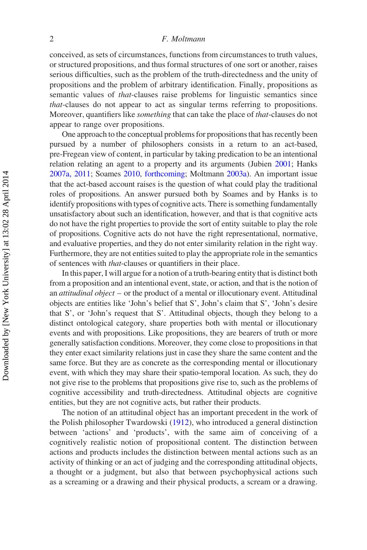conceived, as sets of circumstances, functions from circumstances to truth values, or structured propositions, and thus formal structures of one sort or another, raises serious difficulties, such as the problem of the truth-directedness and the unity of propositions and the problem of arbitrary identification. Finally, propositions as semantic values of *that-clauses* raise problems for linguistic semantics since that-clauses do not appear to act as singular terms referring to propositions. Moreover, quantifiers like something that can take the place of that-clauses do not appear to range over propositions.

One approach to the conceptual problems for propositions that has recently been pursued by a number of philosophers consists in a return to an act-based, pre-Fregean view of content, in particular by taking predication to be an intentional relation relating an agent to a property and its arguments (Jubien [2001;](#page-23-1) Hanks [2007a, 2011;](#page-23-2) Soames [2010](#page-24-0), [forthcoming;](#page-24-1) Moltmann [2003a](#page-23-3)). An important issue that the act-based account raises is the question of what could play the traditional roles of propositions. An answer pursued both by Soames and by Hanks is to identify propositions with types of cognitive acts. There is something fundamentally unsatisfactory about such an identification, however, and that is that cognitive acts do not have the right properties to provide the sort of entity suitable to play the role of propositions. Cognitive acts do not have the right representational, normative, and evaluative properties, and they do not enter similarity relation in the right way. Furthermore, they are not entities suited to play the appropriate role in the semantics of sentences with that-clauses or quantifiers in their place.

In this paper, I will argue for a notion of a truth-bearing entity that is distinct both from a proposition and an intentional event, state, or action, and that is the notion of an attitudinal object – or the product of a mental or illocutionary event. Attitudinal objects are entities like 'John's belief that S', John's claim that S', 'John's desire that S', or 'John's request that S'. Attitudinal objects, though they belong to a distinct ontological category, share properties both with mental or illocutionary events and with propositions. Like propositions, they are bearers of truth or more generally satisfaction conditions. Moreover, they come close to propositions in that they enter exact similarity relations just in case they share the same content and the same force. But they are as concrete as the corresponding mental or illocutionary event, with which they may share their spatio-temporal location. As such, they do not give rise to the problems that propositions give rise to, such as the problems of cognitive accessibility and truth-directedness. Attitudinal objects are cognitive entities, but they are not cognitive acts, but rather their products.

The notion of an attitudinal object has an important precedent in the work of the Polish philosopher Twardowski ([1912\)](#page-24-2), who introduced a general distinction between 'actions' and 'products', with the same aim of conceiving of a cognitively realistic notion of propositional content. The distinction between actions and products includes the distinction between mental actions such as an activity of thinking or an act of judging and the corresponding attitudinal objects, a thought or a judgment, but also that between psychophysical actions such as a screaming or a drawing and their physical products, a scream or a drawing.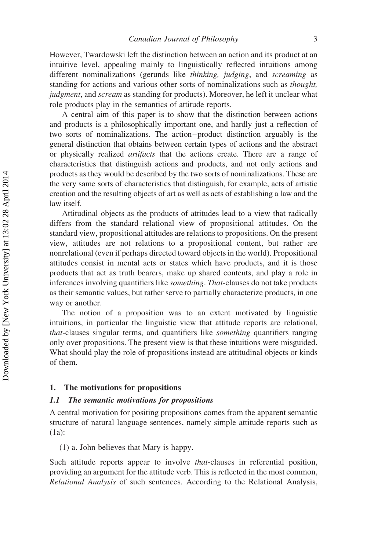However, Twardowski left the distinction between an action and its product at an intuitive level, appealing mainly to linguistically reflected intuitions among different nominalizations (gerunds like thinking, judging, and screaming as standing for actions and various other sorts of nominalizations such as thought, judgment, and scream as standing for products). Moreover, he left it unclear what role products play in the semantics of attitude reports.

A central aim of this paper is to show that the distinction between actions and products is a philosophically important one, and hardly just a reflection of two sorts of nominalizations. The action–product distinction arguably is the general distinction that obtains between certain types of actions and the abstract or physically realized artifacts that the actions create. There are a range of characteristics that distinguish actions and products, and not only actions and products as they would be described by the two sorts of nominalizations. These are the very same sorts of characteristics that distinguish, for example, acts of artistic creation and the resulting objects of art as well as acts of establishing a law and the law itself.

Attitudinal objects as the products of attitudes lead to a view that radically differs from the standard relational view of propositional attitudes. On the standard view, propositional attitudes are relations to propositions. On the present view, attitudes are not relations to a propositional content, but rather are nonrelational (even if perhaps directed toward objects in the world). Propositional attitudes consist in mental acts or states which have products, and it is those products that act as truth bearers, make up shared contents, and play a role in inferences involving quantifiers like something. That-clauses do not take products as their semantic values, but rather serve to partially characterize products, in one way or another.

The notion of a proposition was to an extent motivated by linguistic intuitions, in particular the linguistic view that attitude reports are relational, that-clauses singular terms, and quantifiers like something quantifiers ranging only over propositions. The present view is that these intuitions were misguided. What should play the role of propositions instead are attitudinal objects or kinds of them.

# 1. The motivations for propositions

# 1.1 The semantic motivations for propositions

A central motivation for positing propositions comes from the apparent semantic structure of natural language sentences, namely simple attitude reports such as (1a):

(1) a. John believes that Mary is happy.

Such attitude reports appear to involve that-clauses in referential position, providing an argument for the attitude verb. This is reflected in the most common, Relational Analysis of such sentences. According to the Relational Analysis,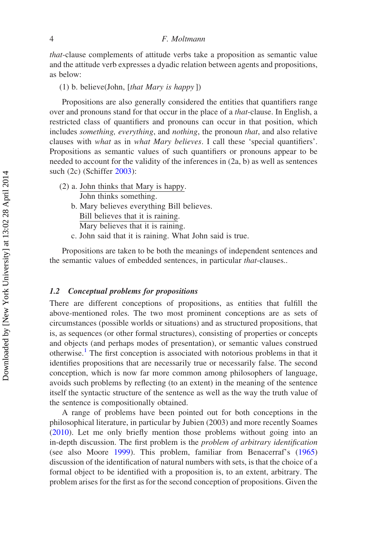that-clause complements of attitude verbs take a proposition as semantic value and the attitude verb expresses a dyadic relation between agents and propositions, as below:

(1) b. believe(John, [that Mary is happy])

Propositions are also generally considered the entities that quantifiers range over and pronouns stand for that occur in the place of a that-clause. In English, a restricted class of quantifiers and pronouns can occur in that position, which includes *something, everything*, and *nothing*, the pronoun *that*, and also relative clauses with what as in what Mary believes. I call these 'special quantifiers'. Propositions as semantic values of such quantifiers or pronouns appear to be needed to account for the validity of the inferences in (2a, b) as well as sentences such (2c) (Schiffer [2003\)](#page-24-3):

- (2) a. John thinks that Mary is happy. John thinks something. b. Mary believes everything Bill believes. Bill believes that it is raining. Mary believes that it is raining.
	- c. John said that it is raining. What John said is true.

Propositions are taken to be both the meanings of independent sentences and the semantic values of embedded sentences, in particular that-clauses..

### 1.2 Conceptual problems for propositions

There are different conceptions of propositions, as entities that fulfill the above-mentioned roles. The two most prominent conceptions are as sets of circumstances (possible worlds or situations) and as structured propositions, that is, as sequences (or other formal structures), consisting of properties or concepts and objects (and perhaps modes of presentation), or semantic values construed otherwise.<sup>[1](#page-20-0)</sup> The first conception is associated with notorious problems in that it identifies propositions that are necessarily true or necessarily false. The second conception, which is now far more common among philosophers of language, avoids such problems by reflecting (to an extent) in the meaning of the sentence itself the syntactic structure of the sentence as well as the way the truth value of the sentence is compositionally obtained.

A range of problems have been pointed out for both conceptions in the philosophical literature, in particular by Jubien (2003) and more recently Soames [\(2010\)](#page-24-0). Let me only briefly mention those problems without going into an in-depth discussion. The first problem is the problem of arbitrary identification (see also Moore [1999\)](#page-24-4). This problem, familiar from Benacerraf's [\(1965](#page-23-4)) discussion of the identification of natural numbers with sets, is that the choice of a formal object to be identified with a proposition is, to an extent, arbitrary. The problem arises for the first as for the second conception of propositions. Given the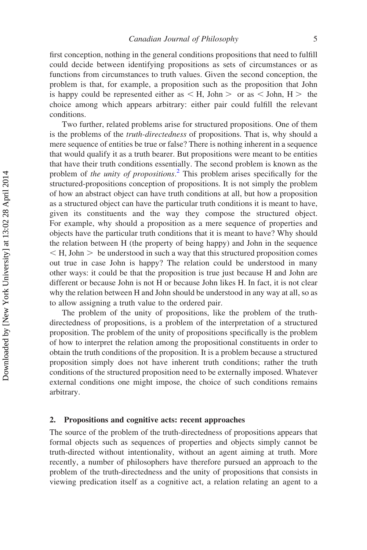first conception, nothing in the general conditions propositions that need to fulfill could decide between identifying propositions as sets of circumstances or as functions from circumstances to truth values. Given the second conception, the problem is that, for example, a proposition such as the proposition that John is happy could be represented either as  $\lt H$ , John  $>$  or as  $\lt$  John, H  $>$  the choice among which appears arbitrary: either pair could fulfill the relevant conditions.

Two further, related problems arise for structured propositions. One of them is the problems of the truth-directedness of propositions. That is, why should a mere sequence of entities be true or false? There is nothing inherent in a sequence that would qualify it as a truth bearer. But propositions were meant to be entities that have their truth conditions essentially. The second problem is known as the problem of the unity of propositions.<sup>[2](#page-20-1)</sup> This problem arises specifically for the structured-propositions conception of propositions. It is not simply the problem of how an abstract object can have truth conditions at all, but how a proposition as a structured object can have the particular truth conditions it is meant to have, given its constituents and the way they compose the structured object. For example, why should a proposition as a mere sequence of properties and objects have the particular truth conditions that it is meant to have? Why should the relation between H (the property of being happy) and John in the sequence  $\leq$  H, John  $\geq$  be understood in such a way that this structured proposition comes out true in case John is happy? The relation could be understood in many other ways: it could be that the proposition is true just because H and John are different or because John is not H or because John likes H. In fact, it is not clear why the relation between H and John should be understood in any way at all, so as to allow assigning a truth value to the ordered pair.

The problem of the unity of propositions, like the problem of the truthdirectedness of propositions, is a problem of the interpretation of a structured proposition. The problem of the unity of propositions specifically is the problem of how to interpret the relation among the propositional constituents in order to obtain the truth conditions of the proposition. It is a problem because a structured proposition simply does not have inherent truth conditions; rather the truth conditions of the structured proposition need to be externally imposed. Whatever external conditions one might impose, the choice of such conditions remains arbitrary.

# 2. Propositions and cognitive acts: recent approaches

The source of the problem of the truth-directedness of propositions appears that formal objects such as sequences of properties and objects simply cannot be truth-directed without intentionality, without an agent aiming at truth. More recently, a number of philosophers have therefore pursued an approach to the problem of the truth-directedness and the unity of propositions that consists in viewing predication itself as a cognitive act, a relation relating an agent to a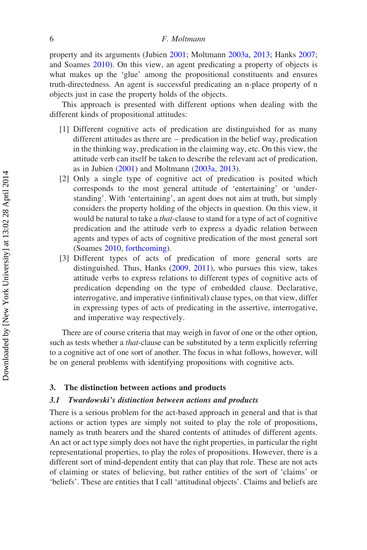property and its arguments (Jubien [2001](#page-23-1); Moltmann [2003a,](#page-23-3) [2013](#page-24-5); Hanks [2007;](#page-23-5) and Soames [2010](#page-24-0)). On this view, an agent predicating a property of objects is what makes up the 'glue' among the propositional constituents and ensures truth-directedness. An agent is successful predicating an n-place property of n objects just in case the property holds of the objects.

This approach is presented with different options when dealing with the different kinds of propositional attitudes:

- [1] Different cognitive acts of predication are distinguished for as many different attitudes as there are – predication in the belief way, predication in the thinking way, predication in the claiming way, etc. On this view, the attitude verb can itself be taken to describe the relevant act of predication, as in Jubien ([2001\)](#page-23-1) and Moltmann [\(2003a,](#page-23-3) [2013](#page-24-5)).
- [2] Only a single type of cognitive act of predication is posited which corresponds to the most general attitude of 'entertaining' or 'understanding'. With 'entertaining', an agent does not aim at truth, but simply considers the property holding of the objects in question. On this view, it would be natural to take a that-clause to stand for a type of act of cognitive predication and the attitude verb to express a dyadic relation between agents and types of acts of cognitive predication of the most general sort (Soames [2010,](#page-24-0) [forthcoming\)](#page-24-1).
- [3] Different types of acts of predication of more general sorts are distinguished. Thus, Hanks [\(2009, 2011](#page-23-2)), who pursues this view, takes attitude verbs to express relations to different types of cognitive acts of predication depending on the type of embedded clause. Declarative, interrogative, and imperative (infinitival) clause types, on that view, differ in expressing types of acts of predicating in the assertive, interrogative, and imperative way respectively.

There are of course criteria that may weigh in favor of one or the other option, such as tests whether a *that*-clause can be substituted by a term explicitly referring to a cognitive act of one sort of another. The focus in what follows, however, will be on general problems with identifying propositions with cognitive acts.

#### 3. The distinction between actions and products

# 3.1 Twardowski's distinction between actions and products

There is a serious problem for the act-based approach in general and that is that actions or action types are simply not suited to play the role of propositions, namely as truth bearers and the shared contents of attitudes of different agents. An act or act type simply does not have the right properties, in particular the right representational properties, to play the roles of propositions. However, there is a different sort of mind-dependent entity that can play that role. These are not acts of claiming or states of believing, but rather entities of the sort of 'claims' or 'beliefs'. These are entities that I call 'attitudinal objects'. Claims and beliefs are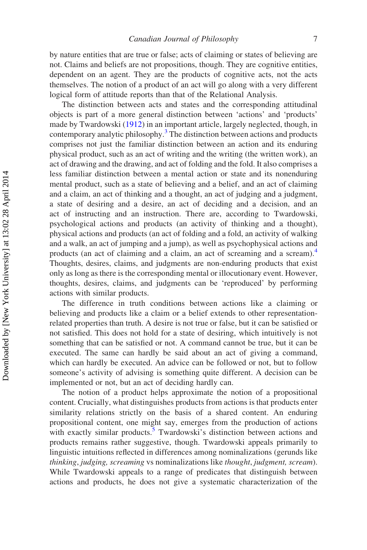by nature entities that are true or false; acts of claiming or states of believing are not. Claims and beliefs are not propositions, though. They are cognitive entities, dependent on an agent. They are the products of cognitive acts, not the acts themselves. The notion of a product of an act will go along with a very different logical form of attitude reports than that of the Relational Analysis.

The distinction between acts and states and the corresponding attitudinal objects is part of a more general distinction between 'actions' and 'products' made by Twardowski [\(1912](#page-24-2)) in an important article, largely neglected, though, in contemporary analytic philosophy.<sup>[3](#page-20-2)</sup> The distinction between actions and products comprises not just the familiar distinction between an action and its enduring physical product, such as an act of writing and the writing (the written work), an act of drawing and the drawing, and act of folding and the fold. It also comprises a less familiar distinction between a mental action or state and its nonenduring mental product, such as a state of believing and a belief, and an act of claiming and a claim, an act of thinking and a thought, an act of judging and a judgment, a state of desiring and a desire, an act of deciding and a decision, and an act of instructing and an instruction. There are, according to Twardowski, psychological actions and products (an activity of thinking and a thought), physical actions and products (an act of folding and a fold, an activity of walking and a walk, an act of jumping and a jump), as well as psychophysical actions and products (an act of claiming and a claim, an act of screaming and a scream).[4](#page-20-3) Thoughts, desires, claims, and judgments are non-enduring products that exist only as long as there is the corresponding mental or illocutionary event. However, thoughts, desires, claims, and judgments can be 'reproduced' by performing actions with similar products.

The difference in truth conditions between actions like a claiming or believing and products like a claim or a belief extends to other representationrelated properties than truth. A desire is not true or false, but it can be satisfied or not satisfied. This does not hold for a state of desiring, which intuitively is not something that can be satisfied or not. A command cannot be true, but it can be executed. The same can hardly be said about an act of giving a command, which can hardly be executed. An advice can be followed or not, but to follow someone's activity of advising is something quite different. A decision can be implemented or not, but an act of deciding hardly can.

The notion of a product helps approximate the notion of a propositional content. Crucially, what distinguishes products from actions is that products enter similarity relations strictly on the basis of a shared content. An enduring propositional content, one might say, emerges from the production of actions with exactly similar products.<sup>[5](#page-20-4)</sup> Twardowski's distinction between actions and products remains rather suggestive, though. Twardowski appeals primarily to linguistic intuitions reflected in differences among nominalizations (gerunds like thinking, judging, screaming vs nominalizations like thought, judgment, scream). While Twardowski appeals to a range of predicates that distinguish between actions and products, he does not give a systematic characterization of the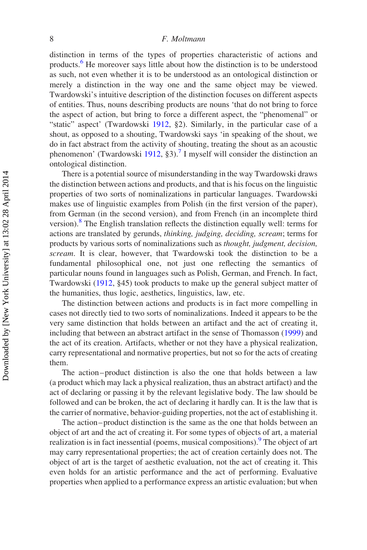distinction in terms of the types of properties characteristic of actions and products.[6](#page-20-5) He moreover says little about how the distinction is to be understood as such, not even whether it is to be understood as an ontological distinction or merely a distinction in the way one and the same object may be viewed. Twardowski's intuitive description of the distinction focuses on different aspects of entities. Thus, nouns describing products are nouns 'that do not bring to force the aspect of action, but bring to force a different aspect, the "phenomenal" or "static" aspect' (Twardowski [1912,](#page-24-2) §2). Similarly, in the particular case of a shout, as opposed to a shouting, Twardowski says 'in speaking of the shout, we do in fact abstract from the activity of shouting, treating the shout as an acoustic phenomenon' (Twardowski [1912,](#page-24-2) §3).<sup>[7](#page-20-6)</sup> I myself will consider the distinction an ontological distinction.

There is a potential source of misunderstanding in the way Twardowski draws the distinction between actions and products, and that is his focus on the linguistic properties of two sorts of nominalizations in particular languages. Twardowski makes use of linguistic examples from Polish (in the first version of the paper), from German (in the second version), and from French (in an incomplete third version).<sup>[8](#page-21-0)</sup> The English translation reflects the distinction equally well: terms for actions are translated by gerunds, thinking, judging, deciding, scream; terms for products by various sorts of nominalizations such as thought, judgment, decision, scream. It is clear, however, that Twardowski took the distinction to be a fundamental philosophical one, not just one reflecting the semantics of particular nouns found in languages such as Polish, German, and French. In fact, Twardowski ([1912,](#page-24-2) §45) took products to make up the general subject matter of the humanities, thus logic, aesthetics, linguistics, law, etc.

The distinction between actions and products is in fact more compelling in cases not directly tied to two sorts of nominalizations. Indeed it appears to be the very same distinction that holds between an artifact and the act of creating it, including that between an abstract artifact in the sense of Thomasson [\(1999](#page-24-6)) and the act of its creation. Artifacts, whether or not they have a physical realization, carry representational and normative properties, but not so for the acts of creating them.

The action –product distinction is also the one that holds between a law (a product which may lack a physical realization, thus an abstract artifact) and the act of declaring or passing it by the relevant legislative body. The law should be followed and can be broken, the act of declaring it hardly can. It is the law that is the carrier of normative, behavior-guiding properties, not the act of establishing it.

The action – product distinction is the same as the one that holds between an object of art and the act of creating it. For some types of objects of art, a material realization is in fact inessential (poems, musical compositions). <sup>[9](#page-21-1)</sup> The object of art may carry representational properties; the act of creation certainly does not. The object of art is the target of aesthetic evaluation, not the act of creating it. This even holds for an artistic performance and the act of performing. Evaluative properties when applied to a performance express an artistic evaluation; but when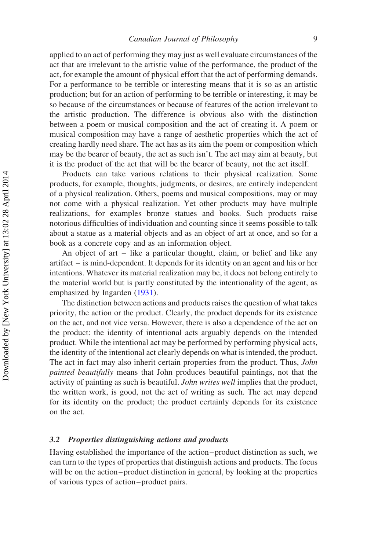applied to an act of performing they may just as well evaluate circumstances of the act that are irrelevant to the artistic value of the performance, the product of the act, for example the amount of physical effort that the act of performing demands. For a performance to be terrible or interesting means that it is so as an artistic production; but for an action of performing to be terrible or interesting, it may be so because of the circumstances or because of features of the action irrelevant to the artistic production. The difference is obvious also with the distinction between a poem or musical composition and the act of creating it. A poem or musical composition may have a range of aesthetic properties which the act of creating hardly need share. The act has as its aim the poem or composition which may be the bearer of beauty, the act as such isn't. The act may aim at beauty, but it is the product of the act that will be the bearer of beauty, not the act itself.

Products can take various relations to their physical realization. Some products, for example, thoughts, judgments, or desires, are entirely independent of a physical realization. Others, poems and musical compositions, may or may not come with a physical realization. Yet other products may have multiple realizations, for examples bronze statues and books. Such products raise notorious difficulties of individuation and counting since it seems possible to talk about a statue as a material objects and as an object of art at once, and so for a book as a concrete copy and as an information object.

An object of art – like a particular thought, claim, or belief and like any artifact – is mind-dependent. It depends for its identity on an agent and his or her intentions. Whatever its material realization may be, it does not belong entirely to the material world but is partly constituted by the intentionality of the agent, as emphasized by Ingarden ([1931\)](#page-23-0).

The distinction between actions and products raises the question of what takes priority, the action or the product. Clearly, the product depends for its existence on the act, and not vice versa. However, there is also a dependence of the act on the product: the identity of intentional acts arguably depends on the intended product. While the intentional act may be performed by performing physical acts, the identity of the intentional act clearly depends on what is intended, the product. The act in fact may also inherit certain properties from the product. Thus, *John* painted beautifully means that John produces beautiful paintings, not that the activity of painting as such is beautiful. John writes well implies that the product, the written work, is good, not the act of writing as such. The act may depend for its identity on the product; the product certainly depends for its existence on the act.

# 3.2 Properties distinguishing actions and products

Having established the importance of the action –product distinction as such, we can turn to the types of properties that distinguish actions and products. The focus will be on the action-product distinction in general, by looking at the properties of various types of action –product pairs.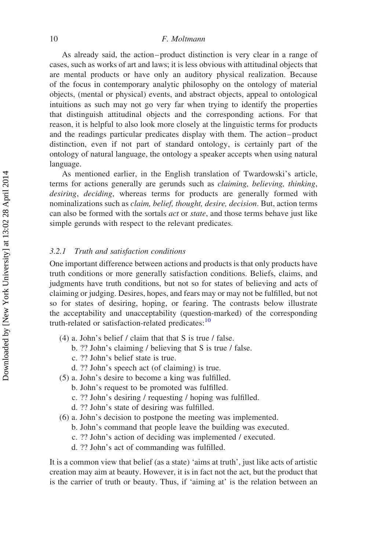As already said, the action – product distinction is very clear in a range of cases, such as works of art and laws; it is less obvious with attitudinal objects that are mental products or have only an auditory physical realization. Because of the focus in contemporary analytic philosophy on the ontology of material objects, (mental or physical) events, and abstract objects, appeal to ontological intuitions as such may not go very far when trying to identify the properties that distinguish attitudinal objects and the corresponding actions. For that reason, it is helpful to also look more closely at the linguistic terms for products and the readings particular predicates display with them. The action – product distinction, even if not part of standard ontology, is certainly part of the ontology of natural language, the ontology a speaker accepts when using natural language.

As mentioned earlier, in the English translation of Twardowski's article, terms for actions generally are gerunds such as claiming, believing, thinking, desiring, deciding, whereas terms for products are generally formed with nominalizations such as *claim, belief, thought, desire, decision*. But, action terms can also be formed with the sortals *act* or *state*, and those terms behave just like simple gerunds with respect to the relevant predicates.

#### 3.2.1 Truth and satisfaction conditions

One important difference between actions and products is that only products have truth conditions or more generally satisfaction conditions. Beliefs, claims, and judgments have truth conditions, but not so for states of believing and acts of claiming or judging. Desires, hopes, and fears may or may not be fulfilled, but not so for states of desiring, hoping, or fearing. The contrasts below illustrate the acceptability and unacceptability (question-marked) of the corresponding truth-related or satisfaction-related predicates:<sup>10</sup>

- (4) a. John's belief / claim that that S is true / false.
	- b. ?? John's claiming / believing that S is true / false.
	- c. ?? John's belief state is true.
	- d. ?? John's speech act (of claiming) is true.
- (5) a. John's desire to become a king was fulfilled.
	- b. John's request to be promoted was fulfilled.
	- c. ?? John's desiring / requesting / hoping was fulfilled.
	- d. ?? John's state of desiring was fulfilled.
- (6) a. John's decision to postpone the meeting was implemented.
	- b. John's command that people leave the building was executed.
	- c. ?? John's action of deciding was implemented / executed.
	- d. ?? John's act of commanding was fulfilled.

It is a common view that belief (as a state) 'aims at truth', just like acts of artistic creation may aim at beauty. However, it is in fact not the act, but the product that is the carrier of truth or beauty. Thus, if 'aiming at' is the relation between an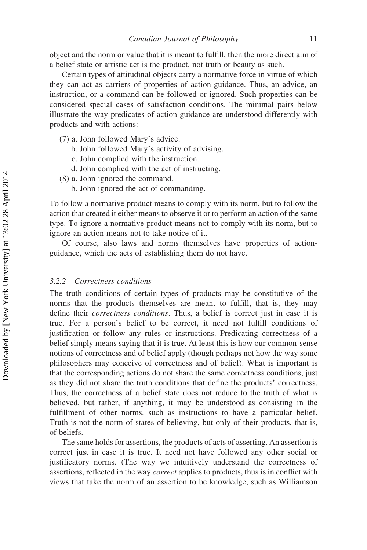object and the norm or value that it is meant to fulfill, then the more direct aim of a belief state or artistic act is the product, not truth or beauty as such.

Certain types of attitudinal objects carry a normative force in virtue of which they can act as carriers of properties of action-guidance. Thus, an advice, an instruction, or a command can be followed or ignored. Such properties can be considered special cases of satisfaction conditions. The minimal pairs below illustrate the way predicates of action guidance are understood differently with products and with actions:

- (7) a. John followed Mary's advice.
	- b. John followed Mary's activity of advising.
	- c. John complied with the instruction.
	- d. John complied with the act of instructing.
- (8) a. John ignored the command.
	- b. John ignored the act of commanding.

To follow a normative product means to comply with its norm, but to follow the action that created it either means to observe it or to perform an action of the same type. To ignore a normative product means not to comply with its norm, but to ignore an action means not to take notice of it.

Of course, also laws and norms themselves have properties of actionguidance, which the acts of establishing them do not have.

#### 3.2.2 Correctness conditions

The truth conditions of certain types of products may be constitutive of the norms that the products themselves are meant to fulfill, that is, they may define their correctness conditions. Thus, a belief is correct just in case it is true. For a person's belief to be correct, it need not fulfill conditions of justification or follow any rules or instructions. Predicating correctness of a belief simply means saying that it is true. At least this is how our common-sense notions of correctness and of belief apply (though perhaps not how the way some philosophers may conceive of correctness and of belief). What is important is that the corresponding actions do not share the same correctness conditions, just as they did not share the truth conditions that define the products' correctness. Thus, the correctness of a belief state does not reduce to the truth of what is believed, but rather, if anything, it may be understood as consisting in the fulfillment of other norms, such as instructions to have a particular belief. Truth is not the norm of states of believing, but only of their products, that is, of beliefs.

The same holds for assertions, the products of acts of asserting. An assertion is correct just in case it is true. It need not have followed any other social or justificatory norms. (The way we intuitively understand the correctness of assertions, reflected in the way correct applies to products, thus is in conflict with views that take the norm of an assertion to be knowledge, such as Williamson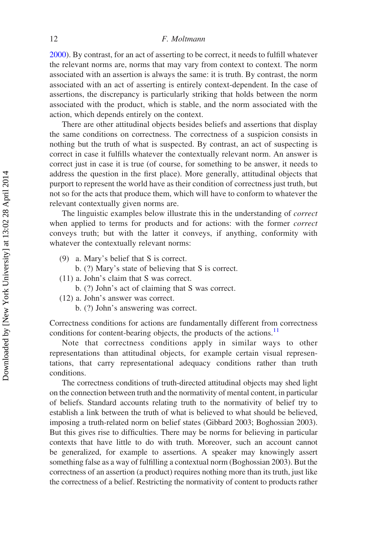[2000\)](#page-24-7). By contrast, for an act of asserting to be correct, it needs to fulfill whatever the relevant norms are, norms that may vary from context to context. The norm associated with an assertion is always the same: it is truth. By contrast, the norm associated with an act of asserting is entirely context-dependent. In the case of assertions, the discrepancy is particularly striking that holds between the norm associated with the product, which is stable, and the norm associated with the action, which depends entirely on the context.

There are other attitudinal objects besides beliefs and assertions that display the same conditions on correctness. The correctness of a suspicion consists in nothing but the truth of what is suspected. By contrast, an act of suspecting is correct in case it fulfills whatever the contextually relevant norm. An answer is correct just in case it is true (of course, for something to be answer, it needs to address the question in the first place). More generally, attitudinal objects that purport to represent the world have as their condition of correctness just truth, but not so for the acts that produce them, which will have to conform to whatever the relevant contextually given norms are.

The linguistic examples below illustrate this in the understanding of correct when applied to terms for products and for actions: with the former *correct* conveys truth; but with the latter it conveys, if anything, conformity with whatever the contextually relevant norms:

- (9) a. Mary's belief that S is correct.
	- b. (?) Mary's state of believing that S is correct.
- (11) a. John's claim that S was correct.
	- b. (?) John's act of claiming that S was correct.
- (12) a. John's answer was correct.
	- b. (?) John's answering was correct.

Correctness conditions for actions are fundamentally different from correctness conditions for content-bearing objects, the products of the actions.<sup>[11](#page-21-3)</sup>

Note that correctness conditions apply in similar ways to other representations than attitudinal objects, for example certain visual representations, that carry representational adequacy conditions rather than truth conditions.

The correctness conditions of truth-directed attitudinal objects may shed light on the connection between truth and the normativity of mental content, in particular of beliefs. Standard accounts relating truth to the normativity of belief try to establish a link between the truth of what is believed to what should be believed, imposing a truth-related norm on belief states (Gibbard 2003; Boghossian 2003). But this gives rise to difficulties. There may be norms for believing in particular contexts that have little to do with truth. Moreover, such an account cannot be generalized, for example to assertions. A speaker may knowingly assert something false as a way of fulfilling a contextual norm (Boghossian 2003). But the correctness of an assertion (a product) requires nothing more than its truth, just like the correctness of a belief. Restricting the normativity of content to products rather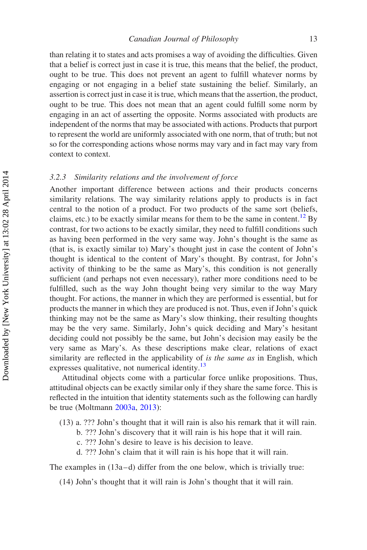than relating it to states and acts promises a way of avoiding the difficulties. Given that a belief is correct just in case it is true, this means that the belief, the product, ought to be true. This does not prevent an agent to fulfill whatever norms by engaging or not engaging in a belief state sustaining the belief. Similarly, an assertion is correct just in case it is true, which means that the assertion, the product, ought to be true. This does not mean that an agent could fulfill some norm by engaging in an act of asserting the opposite. Norms associated with products are independent of the norms that may be associated with actions. Products that purport to represent the world are uniformly associated with one norm, that of truth; but not so for the corresponding actions whose norms may vary and in fact may vary from context to context.

#### 3.2.3 Similarity relations and the involvement of force

Another important difference between actions and their products concerns similarity relations. The way similarity relations apply to products is in fact central to the notion of a product. For two products of the same sort (beliefs, claims, etc.) to be exactly similar means for them to be the same in content.<sup>[12](#page-22-0)</sup> By contrast, for two actions to be exactly similar, they need to fulfill conditions such as having been performed in the very same way. John's thought is the same as (that is, is exactly similar to) Mary's thought just in case the content of John's thought is identical to the content of Mary's thought. By contrast, for John's activity of thinking to be the same as Mary's, this condition is not generally sufficient (and perhaps not even necessary), rather more conditions need to be fulfilled, such as the way John thought being very similar to the way Mary thought. For actions, the manner in which they are performed is essential, but for products the manner in which they are produced is not. Thus, even if John's quick thinking may not be the same as Mary's slow thinking, their resulting thoughts may be the very same. Similarly, John's quick deciding and Mary's hesitant deciding could not possibly be the same, but John's decision may easily be the very same as Mary's. As these descriptions make clear, relations of exact similarity are reflected in the applicability of *is the same as* in English, which expresses qualitative, not numerical identity.<sup>[13](#page-22-1)</sup>

Attitudinal objects come with a particular force unlike propositions. Thus, attitudinal objects can be exactly similar only if they share the same force. This is reflected in the intuition that identity statements such as the following can hardly be true (Moltmann [2003a](#page-23-3), [2013\)](#page-24-5):

- (13) a. ??? John's thought that it will rain is also his remark that it will rain.
	- b. ??? John's discovery that it will rain is his hope that it will rain.
	- c. ??? John's desire to leave is his decision to leave.
	- d. ??? John's claim that it will rain is his hope that it will rain.

The examples in  $(13a-d)$  differ from the one below, which is trivially true:

(14) John's thought that it will rain is John's thought that it will rain.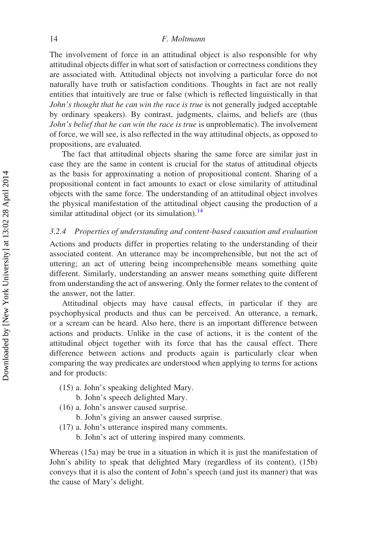The involvement of force in an attitudinal object is also responsible for why attitudinal objects differ in what sort of satisfaction or correctness conditions they are associated with. Attitudinal objects not involving a particular force do not naturally have truth or satisfaction conditions. Thoughts in fact are not really entities that intuitively are true or false (which is reflected linguistically in that John's thought that he can win the race is true is not generally judged acceptable by ordinary speakers). By contrast, judgments, claims, and beliefs are (thus John's belief that he can win the race is true is unproblematic). The involvement of force, we will see, is also reflected in the way attitudinal objects, as opposed to propositions, are evaluated.

The fact that attitudinal objects sharing the same force are similar just in case they are the same in content is crucial for the status of attitudinal objects as the basis for approximating a notion of propositional content. Sharing of a propositional content in fact amounts to exact or close similarity of attitudinal objects with the same force. The understanding of an attitudinal object involves the physical manifestation of the attitudinal object causing the production of a similar attitudinal object (or its simulation). $^{14}$  $^{14}$  $^{14}$ 

#### 3.2.4 Properties of understanding and content-based causation and evaluation

Actions and products differ in properties relating to the understanding of their associated content. An utterance may be incomprehensible, but not the act of uttering; an act of uttering being incomprehensible means something quite different. Similarly, understanding an answer means something quite different from understanding the act of answering. Only the former relates to the content of the answer, not the latter.

Attitudinal objects may have causal effects, in particular if they are psychophysical products and thus can be perceived. An utterance, a remark, or a scream can be heard. Also here, there is an important difference between actions and products. Unlike in the case of actions, it is the content of the attitudinal object together with its force that has the causal effect. There difference between actions and products again is particularly clear when comparing the way predicates are understood when applying to terms for actions and for products:

- (15) a. John's speaking delighted Mary.
	- b. John's speech delighted Mary.
- (16) a. John's answer caused surprise.
	- b. John's giving an answer caused surprise.
- (17) a. John's utterance inspired many comments.
	- b. John's act of uttering inspired many comments.

Whereas (15a) may be true in a situation in which it is just the manifestation of John's ability to speak that delighted Mary (regardless of its content), (15b) conveys that it is also the content of John's speech (and just its manner) that was the cause of Mary's delight.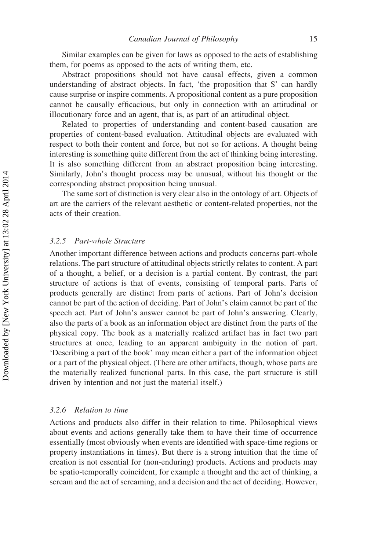Similar examples can be given for laws as opposed to the acts of establishing them, for poems as opposed to the acts of writing them, etc.

Abstract propositions should not have causal effects, given a common understanding of abstract objects. In fact, 'the proposition that S' can hardly cause surprise or inspire comments. A propositional content as a pure proposition cannot be causally efficacious, but only in connection with an attitudinal or illocutionary force and an agent, that is, as part of an attitudinal object.

Related to properties of understanding and content-based causation are properties of content-based evaluation. Attitudinal objects are evaluated with respect to both their content and force, but not so for actions. A thought being interesting is something quite different from the act of thinking being interesting. It is also something different from an abstract proposition being interesting. Similarly, John's thought process may be unusual, without his thought or the corresponding abstract proposition being unusual.

The same sort of distinction is very clear also in the ontology of art. Objects of art are the carriers of the relevant aesthetic or content-related properties, not the acts of their creation.

# 3.2.5 Part-whole Structure

Another important difference between actions and products concerns part-whole relations. The part structure of attitudinal objects strictly relates to content. A part of a thought, a belief, or a decision is a partial content. By contrast, the part structure of actions is that of events, consisting of temporal parts. Parts of products generally are distinct from parts of actions. Part of John's decision cannot be part of the action of deciding. Part of John's claim cannot be part of the speech act. Part of John's answer cannot be part of John's answering. Clearly, also the parts of a book as an information object are distinct from the parts of the physical copy. The book as a materially realized artifact has in fact two part structures at once, leading to an apparent ambiguity in the notion of part. 'Describing a part of the book' may mean either a part of the information object or a part of the physical object. (There are other artifacts, though, whose parts are the materially realized functional parts. In this case, the part structure is still driven by intention and not just the material itself.)

#### 3.2.6 Relation to time

Actions and products also differ in their relation to time. Philosophical views about events and actions generally take them to have their time of occurrence essentially (most obviously when events are identified with space-time regions or property instantiations in times). But there is a strong intuition that the time of creation is not essential for (non-enduring) products. Actions and products may be spatio-temporally coincident, for example a thought and the act of thinking, a scream and the act of screaming, and a decision and the act of deciding. However,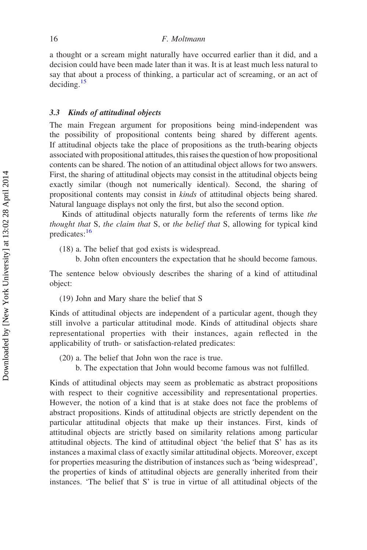a thought or a scream might naturally have occurred earlier than it did, and a decision could have been made later than it was. It is at least much less natural to say that about a process of thinking, a particular act of screaming, or an act of deciding.[15](#page-22-3)

# 3.3 Kinds of attitudinal objects

The main Fregean argument for propositions being mind-independent was the possibility of propositional contents being shared by different agents. If attitudinal objects take the place of propositions as the truth-bearing objects associated with propositional attitudes, this raises the question of how propositional contents can be shared. The notion of an attitudinal object allows for two answers. First, the sharing of attitudinal objects may consist in the attitudinal objects being exactly similar (though not numerically identical). Second, the sharing of propositional contents may consist in kinds of attitudinal objects being shared. Natural language displays not only the first, but also the second option.

Kinds of attitudinal objects naturally form the referents of terms like the thought that S, the claim that S, or the belief that S, allowing for typical kind predicates:<sup>16</sup>

(18) a. The belief that god exists is widespread.

b. John often encounters the expectation that he should become famous.

The sentence below obviously describes the sharing of a kind of attitudinal object:

(19) John and Mary share the belief that S

Kinds of attitudinal objects are independent of a particular agent, though they still involve a particular attitudinal mode. Kinds of attitudinal objects share representational properties with their instances, again reflected in the applicability of truth- or satisfaction-related predicates:

- (20) a. The belief that John won the race is true.
	- b. The expectation that John would become famous was not fulfilled.

Kinds of attitudinal objects may seem as problematic as abstract propositions with respect to their cognitive accessibility and representational properties. However, the notion of a kind that is at stake does not face the problems of abstract propositions. Kinds of attitudinal objects are strictly dependent on the particular attitudinal objects that make up their instances. First, kinds of attitudinal objects are strictly based on similarity relations among particular attitudinal objects. The kind of attitudinal object 'the belief that S' has as its instances a maximal class of exactly similar attitudinal objects. Moreover, except for properties measuring the distribution of instances such as 'being widespread', the properties of kinds of attitudinal objects are generally inherited from their instances. 'The belief that S' is true in virtue of all attitudinal objects of the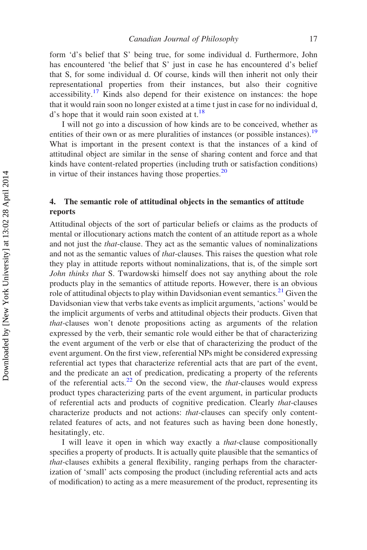form 'd's belief that S' being true, for some individual d. Furthermore, John has encountered 'the belief that S' just in case he has encountered d's belief that S, for some individual d. Of course, kinds will then inherit not only their representational properties from their instances, but also their cognitive  $accessibility.<sup>17</sup>$  $accessibility.<sup>17</sup>$  $accessibility.<sup>17</sup>$  Kinds also depend for their existence on instances: the hope that it would rain soon no longer existed at a time t just in case for no individual d, d's hope that it would rain soon existed at t.<sup>18</sup>

I will not go into a discussion of how kinds are to be conceived, whether as entities of their own or as mere pluralities of instances (or possible instances).<sup>[19](#page-22-7)</sup> What is important in the present context is that the instances of a kind of attitudinal object are similar in the sense of sharing content and force and that kinds have content-related properties (including truth or satisfaction conditions) in virtue of their instances having those properties.<sup>[20](#page-22-8)</sup>

# 4. The semantic role of attitudinal objects in the semantics of attitude reports

Attitudinal objects of the sort of particular beliefs or claims as the products of mental or illocutionary actions match the content of an attitude report as a whole and not just the that-clause. They act as the semantic values of nominalizations and not as the semantic values of that-clauses. This raises the question what role they play in attitude reports without nominalizations, that is, of the simple sort John thinks that S. Twardowski himself does not say anything about the role products play in the semantics of attitude reports. However, there is an obvious role of attitudinal objects to play within Davidsonian event semantics.<sup>[21](#page-23-6)</sup> Given the Davidsonian view that verbs take events as implicit arguments, 'actions' would be the implicit arguments of verbs and attitudinal objects their products. Given that that-clauses won't denote propositions acting as arguments of the relation expressed by the verb, their semantic role would either be that of characterizing the event argument of the verb or else that of characterizing the product of the event argument. On the first view, referential NPs might be considered expressing referential act types that characterize referential acts that are part of the event, and the predicate an act of predication, predicating a property of the referents of the referential acts. $^{22}$  $^{22}$  $^{22}$  On the second view, the *that*-clauses would express product types characterizing parts of the event argument, in particular products of referential acts and products of cognitive predication. Clearly that-clauses characterize products and not actions: that-clauses can specify only contentrelated features of acts, and not features such as having been done honestly, hesitatingly, etc.

I will leave it open in which way exactly a that-clause compositionally specifies a property of products. It is actually quite plausible that the semantics of that-clauses exhibits a general flexibility, ranging perhaps from the characterization of 'small' acts composing the product (including referential acts and acts of modification) to acting as a mere measurement of the product, representing its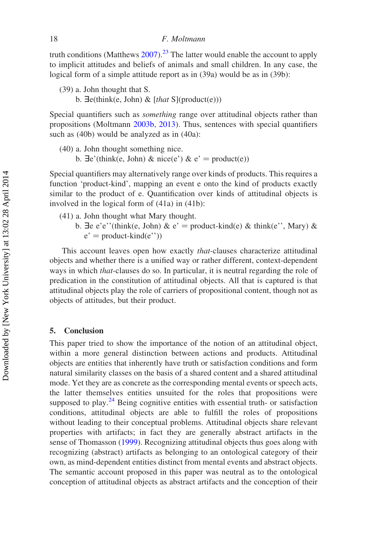truth conditions (Matthews  $2007$ ).<sup>[23](#page-23-9)</sup> The latter would enable the account to apply to implicit attitudes and beliefs of animals and small children. In any case, the logical form of a simple attitude report as in (39a) would be as in (39b):

- (39) a. John thought that S.
	- b.  $\exists$ e(think(e, John) & [that S](product(e)))

Special quantifiers such as *something* range over attitudinal objects rather than propositions (Moltmann [2003b,](#page-24-8) [2013](#page-24-5)). Thus, sentences with special quantifiers such as (40b) would be analyzed as in (40a):

- (40) a. John thought something nice.
	- b.  $\exists$ e'(think(e, John) & nice(e') & e' = product(e))

Special quantifiers may alternatively range over kinds of products. This requires a function 'product-kind', mapping an event e onto the kind of products exactly similar to the product of e. Quantification over kinds of attitudinal objects is involved in the logical form of (41a) in (41b):

- (41) a. John thought what Mary thought.
	- b.  $\exists e \cdot e'$  (think(e, John)  $\& e' = \text{product-kind}(e) \& \text{think}(e'')$ , Mary)  $\&$  $e' = product$ -kind $(e'')$ )

This account leaves open how exactly *that*-clauses characterize attitudinal objects and whether there is a unified way or rather different, context-dependent ways in which that-clauses do so. In particular, it is neutral regarding the role of predication in the constitution of attitudinal objects. All that is captured is that attitudinal objects play the role of carriers of propositional content, though not as objects of attitudes, but their product.

# 5. Conclusion

This paper tried to show the importance of the notion of an attitudinal object, within a more general distinction between actions and products. Attitudinal objects are entities that inherently have truth or satisfaction conditions and form natural similarity classes on the basis of a shared content and a shared attitudinal mode. Yet they are as concrete as the corresponding mental events or speech acts, the latter themselves entities unsuited for the roles that propositions were supposed to play. $^{24}$  $^{24}$  $^{24}$  Being cognitive entities with essential truth- or satisfaction conditions, attitudinal objects are able to fulfill the roles of propositions without leading to their conceptual problems. Attitudinal objects share relevant properties with artifacts; in fact they are generally abstract artifacts in the sense of Thomasson ([1999\)](#page-24-6). Recognizing attitudinal objects thus goes along with recognizing (abstract) artifacts as belonging to an ontological category of their own, as mind-dependent entities distinct from mental events and abstract objects. The semantic account proposed in this paper was neutral as to the ontological conception of attitudinal objects as abstract artifacts and the conception of their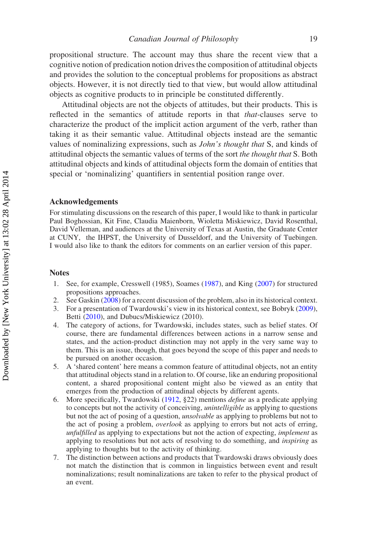propositional structure. The account may thus share the recent view that a cognitive notion of predication notion drives the composition of attitudinal objects and provides the solution to the conceptual problems for propositions as abstract objects. However, it is not directly tied to that view, but would allow attitudinal objects as cognitive products to in principle be constituted differently.

Attitudinal objects are not the objects of attitudes, but their products. This is reflected in the semantics of attitude reports in that *that*-clauses serve to characterize the product of the implicit action argument of the verb, rather than taking it as their semantic value. Attitudinal objects instead are the semantic values of nominalizing expressions, such as John's thought that S, and kinds of attitudinal objects the semantic values of terms of the sort the thought that S. Both attitudinal objects and kinds of attitudinal objects form the domain of entities that special or 'nominalizing' quantifiers in sentential position range over.

# Acknowledgements

For stimulating discussions on the research of this paper, I would like to thank in particular Paul Boghossian, Kit Fine, Claudia Maienborn, Wioletta Miskiewicz, David Rosenthal, David Velleman, and audiences at the University of Texas at Austin, the Graduate Center at CUNY, the IHPST, the University of Dusseldorf, and the University of Tuebingen. I would also like to thank the editors for comments on an earlier version of this paper.

#### <span id="page-20-0"></span>Notes

- 1. See, for example, Cresswell (1985), Soames ([1987\)](#page-24-9), and King [\(2007](#page-23-11)) for structured propositions approaches.
- <span id="page-20-2"></span><span id="page-20-1"></span>2. See Gaskin ([2008\)](#page-23-12) for a recent discussion of the problem, also in its historical context.
- 3. For a presentation of Twardowski's view in its historical context, see Bobryk [\(2009](#page-23-13)), Betti [\(2010\)](#page-23-14), and Dubucs/Miskiewicz (2010).
- <span id="page-20-3"></span>4. The category of actions, for Twardowski, includes states, such as belief states. Of course, there are fundamental differences between actions in a narrow sense and states, and the action-product distinction may not apply in the very same way to them. This is an issue, though, that goes beyond the scope of this paper and needs to be pursued on another occasion.
- <span id="page-20-4"></span>5. A 'shared content' here means a common feature of attitudinal objects, not an entity that attitudinal objects stand in a relation to. Of course, like an enduring propositional content, a shared propositional content might also be viewed as an entity that emerges from the production of attitudinal objects by different agents.
- <span id="page-20-5"></span>6. More specifically, Twardowski ([1912,](#page-24-2) §22) mentions define as a predicate applying to concepts but not the activity of conceiving, unintelligible as applying to questions but not the act of posing of a question, unsolvable as applying to problems but not to the act of posing a problem, overlook as applying to errors but not acts of erring, unfulfilled as applying to expectations but not the action of expecting, implement as applying to resolutions but not acts of resolving to do something, and inspiring as applying to thoughts but to the activity of thinking.
- <span id="page-20-6"></span>7. The distinction between actions and products that Twardowski draws obviously does not match the distinction that is common in linguistics between event and result nominalizations; result nominalizations are taken to refer to the physical product of an event.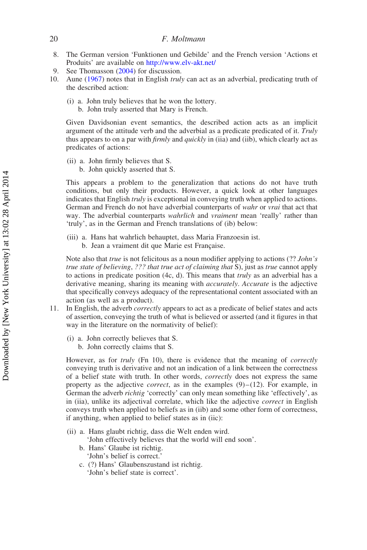- <span id="page-21-0"></span>8. The German version 'Funktionen und Gebilde' and the French version 'Actions et Produits' are available on <http://www.elv-akt.net/>
- <span id="page-21-1"></span>See Thomasson ([2004](#page-24-10)) for discussion.
- <span id="page-21-2"></span>10. Aune ([1967\)](#page-23-15) notes that in English *truly* can act as an adverbial, predicating truth of the described action:
	- (i) a. John truly believes that he won the lottery.
		- b. John truly asserted that Mary is French.

Given Davidsonian event semantics, the described action acts as an implicit argument of the attitude verb and the adverbial as a predicate predicated of it. Truly thus appears to on a par with *firmly* and *quickly* in (iia) and (iib), which clearly act as predicates of actions:

(ii) a. John firmly believes that S. b. John quickly asserted that S.

This appears a problem to the generalization that actions do not have truth conditions, but only their products. However, a quick look at other languages indicates that English *truly* is exceptional in conveying truth when applied to actions. German and French do not have adverbial counterparts of wahr or vrai that act that way. The adverbial counterparts wahrlich and vraiment mean 'really' rather than 'truly', as in the German and French translations of (ib) below:

- (iii) a. Hans hat wahrlich behauptet, dass Maria Franzoesin ist.
	- b. Jean a vraiment dit que Marie est Française.

Note also that true is not felicitous as a noun modifier applying to actions (?? John's true state of believing, ??? that true act of claiming that S), just as true cannot apply to actions in predicate position (4c, d). This means that truly as an adverbial has a derivative meaning, sharing its meaning with *accurately*. Accurate is the adjective that specifically conveys adequacy of the representational content associated with an action (as well as a product).

- <span id="page-21-3"></span>11. In English, the adverb correctly appears to act as a predicate of belief states and acts of assertion, conveying the truth of what is believed or asserted (and it figures in that way in the literature on the normativity of belief):
	- (i) a. John correctly believes that S.
		- b. John correctly claims that S.

However, as for *truly* (Fn 10), there is evidence that the meaning of *correctly* conveying truth is derivative and not an indication of a link between the correctness of a belief state with truth. In other words, correctly does not express the same property as the adjective *correct*, as in the examples  $(9)$ – $(12)$ . For example, in German the adverb *richtig* 'correctly' can only mean something like 'effectively', as in (iia), unlike its adjectival correlate, which like the adjective correct in English conveys truth when applied to beliefs as in (iib) and some other form of correctness, if anything, when applied to belief states as in (iic):

(ii) a. Hans glaubt richtig, dass die Welt enden wird.

'John effectively believes that the world will end soon'.

- b. Hans' Glaube ist richtig. 'John's belief is correct.'
- c. (?) Hans' Glaubenszustand ist richtig. 'John's belief state is correct'.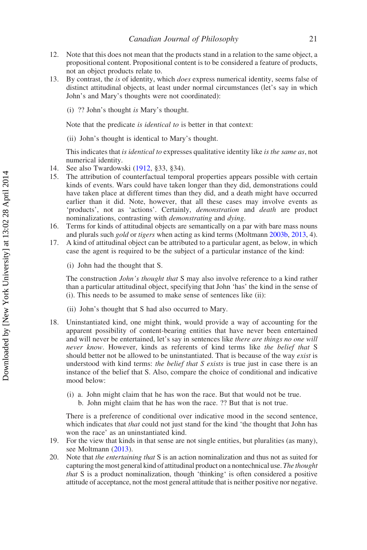- <span id="page-22-0"></span>12. Note that this does not mean that the products stand in a relation to the same object, a propositional content. Propositional content is to be considered a feature of products, not an object products relate to.
- <span id="page-22-1"></span>13. By contrast, the is of identity, which does express numerical identity, seems false of distinct attitudinal objects, at least under normal circumstances (let's say in which John's and Mary's thoughts were not coordinated):
	- (i) ?? John's thought is Mary's thought.

Note that the predicate is identical to is better in that context:

(ii) John's thought is identical to Mary's thought.

This indicates that is identical to expresses qualitative identity like is the same as, not numerical identity.

- <span id="page-22-2"></span>14. See also Twardowski [\(1912](#page-24-2), §33, §34).
- <span id="page-22-3"></span>15. The attribution of counterfactual temporal properties appears possible with certain kinds of events. Wars could have taken longer than they did, demonstrations could have taken place at different times than they did, and a death might have occurred earlier than it did. Note, however, that all these cases may involve events as 'products', not as 'actions'. Certainly, demonstration and death are product nominalizations, contrasting with demonstrating and dying.
- <span id="page-22-4"></span>16. Terms for kinds of attitudinal objects are semantically on a par with bare mass nouns and plurals such gold or tigers when acting as kind terms (Moltmann [2003b,](#page-24-8) [2013,](#page-24-5) 4).
- <span id="page-22-5"></span>17. A kind of attitudinal object can be attributed to a particular agent, as below, in which case the agent is required to be the subject of a particular instance of the kind:
	- (i) John had the thought that S.

The construction *John's thought that* S may also involve reference to a kind rather than a particular attitudinal object, specifying that John 'has' the kind in the sense of (i). This needs to be assumed to make sense of sentences like (ii):

- (ii) John's thought that S had also occurred to Mary.
- <span id="page-22-6"></span>18. Uninstantiated kind, one might think, would provide a way of accounting for the apparent possibility of content-bearing entities that have never been entertained and will never be entertained, let's say in sentences like *there are things no one will* never know. However, kinds as referents of kind terms like the belief that S should better not be allowed to be uninstantiated. That is because of the way *exist* is understood with kind terms: the belief that  $S$  exists is true just in case there is an instance of the belief that S. Also, compare the choice of conditional and indicative mood below:
	- (i) a. John might claim that he has won the race. But that would not be true.
		- b. John might claim that he has won the race. ?? But that is not true.

There is a preference of conditional over indicative mood in the second sentence, which indicates that that could not just stand for the kind 'the thought that John has won the race' as an uninstantiated kind.

- <span id="page-22-7"></span>19. For the view that kinds in that sense are not single entities, but pluralities (as many), see Moltmann [\(2013](#page-24-5)).
- <span id="page-22-8"></span>20. Note that the entertaining that S is an action nominalization and thus not as suited for capturing the most general kind of attitudinal product on a nontechnical use. The thought that S is a product nominalization, though 'thinking' is often considered a positive attitude of acceptance, not the most general attitude that is neither positive nor negative.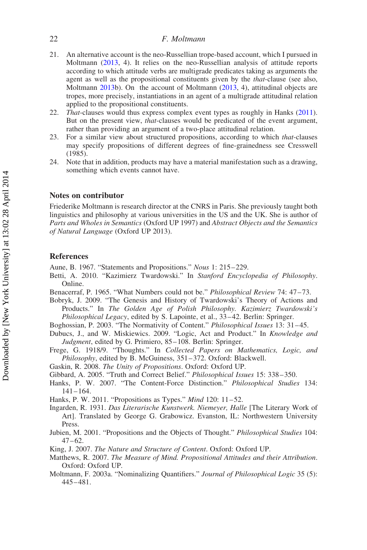- <span id="page-23-6"></span>21. An alternative account is the neo-Russellian trope-based account, which I pursued in Moltmann [\(2013](#page-24-5), 4). It relies on the neo-Russellian analysis of attitude reports according to which attitude verbs are multigrade predicates taking as arguments the agent as well as the propositional constituents given by the that-clause (see also, Moltmann [2013](#page-24-5)b). On the account of Moltmann [\(2013](#page-24-5), 4), attitudinal objects are tropes, more precisely, instantiations in an agent of a multigrade attitudinal relation applied to the propositional constituents.
- <span id="page-23-7"></span>22. That-clauses would thus express complex event types as roughly in Hanks [\(2011](#page-23-2)). But on the present view, *that*-clauses would be predicated of the event argument, rather than providing an argument of a two-place attitudinal relation.
- <span id="page-23-9"></span>23. For a similar view about structured propositions, according to which that-clauses may specify propositions of different degrees of fine-grainedness see Cresswell (1985).
- <span id="page-23-10"></span>24. Note that in addition, products may have a material manifestation such as a drawing, something which events cannot have.

# Notes on contributor

Friederike Moltmann is research director at the CNRS in Paris. She previously taught both linguistics and philosophy at various universities in the US and the UK. She is author of Parts and Wholes in Semantics (Oxford UP 1997) and Abstract Objects and the Semantics of Natural Language (Oxford UP 2013).

#### References

<span id="page-23-15"></span>Aune, B. 1967. "Statements and Propositions." Nous 1: 215–229.

- <span id="page-23-14"></span>Betti, A. 2010. "Kazimierz Twardowski." In Stanford Encyclopedia of Philosophy. Online.
- <span id="page-23-4"></span>Benacerraf, P. 1965. "What Numbers could not be." Philosophical Review 74: 47-73.
- <span id="page-23-13"></span>Bobryk, J. 2009. "The Genesis and History of Twardowski's Theory of Actions and Products." In The Golden Age of Polish Philosophy. Kazimierz Twardowski's Philosophical Legacy, edited by S. Lapointe, et al., 33-42. Berlin: Springer.
- Boghossian, P. 2003. "The Normativity of Content." Philosophical Issues 13: 31 –45.
- Dubucs, J., and W. Miskiewics. 2009. "Logic, Act and Product." In Knowledge and Judgment, edited by G. Primiero, 85-108. Berlin: Springer.
- <span id="page-23-0"></span>Frege, G. 1918/9. "Thoughts." In Collected Papers on Mathematics, Logic, and Philosophy, edited by B. McGuiness, 351-372. Oxford: Blackwell.
- <span id="page-23-12"></span>Gaskin, R. 2008. The Unity of Propositions. Oxford: Oxford UP.
- Gibbard, A. 2005. "Truth and Correct Belief." Philosophical Issues 15: 338– 350.
- <span id="page-23-5"></span>Hanks, P. W. 2007. "The Content-Force Distinction." Philosophical Studies 134: 141– 164.
- <span id="page-23-2"></span>Hanks, P. W. 2011. "Propositions as Types." Mind 120: 11-52.
- Ingarden, R. 1931. Das Literarische Kunstwerk. Niemeyer, Halle [The Literary Work of Art]. Translated by George G. Grabowicz. Evanston, IL: Northwestern University Press.
- <span id="page-23-1"></span>Jubien, M. 2001. "Propositions and the Objects of Thought." Philosophical Studies 104:  $47 - 62.$
- <span id="page-23-11"></span>King, J. 2007. The Nature and Structure of Content. Oxford: Oxford UP.
- <span id="page-23-8"></span>Matthews, R. 2007. The Measure of Mind. Propositional Attitudes and their Attribution. Oxford: Oxford UP.
- <span id="page-23-3"></span>Moltmann, F. 2003a. "Nominalizing Quantifiers." Journal of Philosophical Logic 35 (5): 445– 481.